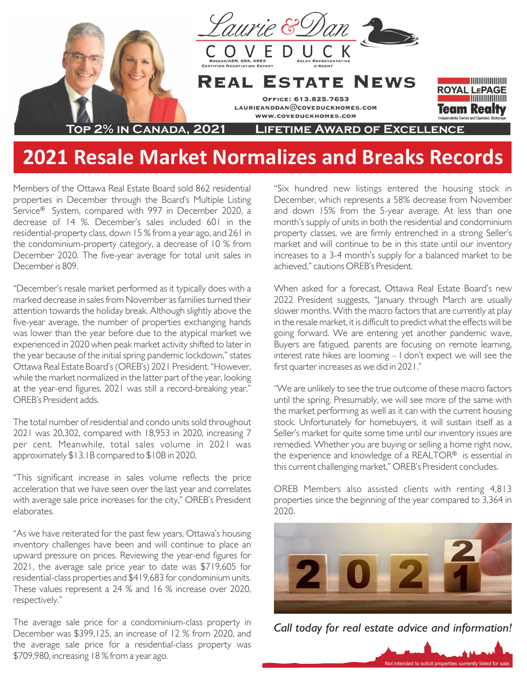

## **2021 Resale Market Normalizes and Breaks Records**

Members of the Ottawa Real Estate Board sold 862 residential properties in December through the Board's Multiple Listing Service® System, compared with 997 in December 2020, a decrease of 14 %. December's sales included 601 in the residential-property class, down 15 % from a year ago, and 261 in the condominium-property category, a decrease of 10 % from December 2020. The five-year average for total unit sales in December is 809.

"December's resale market performed as it typically does with a marked decrease in sales from November as families turned their attention towards the holiday break. Although slightly above the five-year average, the number of properties exchanging hands was lower than the year before due to the atypical market we experienced in 2020 when peak market activity shifted to later in the year because of the initial spring pandemic lockdown," states Ottawa Real Estate Board's (OREB's) 2021 President. "However, while the market normalized in the latter part of the year, looking at the year-end figures, 2021 was still a record-breaking year," OREB's President adds.

The total number of residential and condo units sold throughout 2021 was 20,302, compared with 18,953 in 2020, increasing 7 per cent. Meanwhile, total sales volume in 2021 was approximately \$13.1B compared to \$10B in 2020.

"This significant increase in sales volume reflects the price acceleration that we have seen over the last year and correlates with average sale price increases for the city," OREB's President elaborates.

"As we have reiterated for the past few years, Ottawa's housing inventory challenges have been and will continue to place an upward pressure on prices. Reviewing the year-end figures for 2021, the average sale price year to date was \$719,605 for residential-class properties and \$419,683 for condominium units. These values represent a 24 % and 16 % increase over 2020, respectively."

The average sale price for a condominium-class property in December was \$399,125, an increase of 12 % from 2020, and the average sale price for a residential-class property was \$709,980, increasing 18 % from a year ago.

"Six hundred new listings entered the housing stock in December, which represents a 58% decrease from November and down 15% from the 5-year average. At less than one month's supply of units in both the residential and condominium property classes, we are firmly entrenched in a strong Seller's market and will continue to be in this state until our inventory increases to a 3-4 month's supply for a balanced market to be achieved," cautions OREB's President.

When asked for a forecast, Ottawa Real Estate Board's new 2022 President suggests, "January through March are usually slower months. With the macro factors that are currently at play in the resale market, it is difficult to predict what the effects will be going forward. We are entering yet another pandemic wave, Buyers are fatigued, parents are focusing on remote learning, interest rate hikes are looming – I don't expect we will see the first quarter increases as we did in 2021."

"We are unlikely to see the true outcome of these macro factors until the spring. Presumably, we will see more of the same with the market performing as well as it can with the current housing stock. Unfortunately for homebuyers, it will sustain itself as a Seller's market for quite some time until our inventory issues are remedied. Whether you are buying or selling a home right now, the experience and knowledge of a REALTOR® is essential in this current challenging market," OREB's President concludes.

OREB Members also assisted clients with renting 4,813 properties since the beginning of the year compared to 3,364 in 2020.



*Call today for real estate advice and information!*